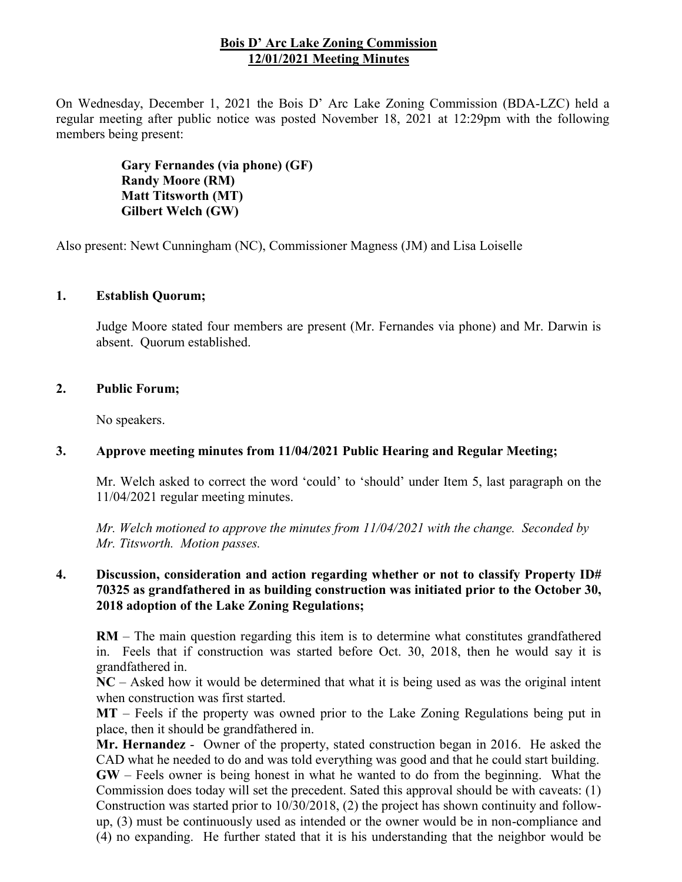## **Bois D' Arc Lake Zoning Commission 12/01/2021 Meeting Minutes**

On Wednesday, December 1, 2021 the Bois D' Arc Lake Zoning Commission (BDA-LZC) held a regular meeting after public notice was posted November 18, 2021 at 12:29pm with the following members being present:

> **Gary Fernandes (via phone) (GF) Randy Moore (RM) Matt Titsworth (MT) Gilbert Welch (GW)**

Also present: Newt Cunningham (NC), Commissioner Magness (JM) and Lisa Loiselle

## **1. Establish Quorum;**

Judge Moore stated four members are present (Mr. Fernandes via phone) and Mr. Darwin is absent. Quorum established.

#### **2. Public Forum;**

No speakers.

#### **3. Approve meeting minutes from 11/04/2021 Public Hearing and Regular Meeting;**

Mr. Welch asked to correct the word 'could' to 'should' under Item 5, last paragraph on the 11/04/2021 regular meeting minutes.

*Mr. Welch motioned to approve the minutes from 11/04/2021 with the change. Seconded by Mr. Titsworth. Motion passes.*

## **4. Discussion, consideration and action regarding whether or not to classify Property ID# 70325 as grandfathered in as building construction was initiated prior to the October 30, 2018 adoption of the Lake Zoning Regulations;**

**RM** – The main question regarding this item is to determine what constitutes grandfathered in. Feels that if construction was started before Oct. 30, 2018, then he would say it is grandfathered in.

**NC** – Asked how it would be determined that what it is being used as was the original intent when construction was first started.

**MT** – Feels if the property was owned prior to the Lake Zoning Regulations being put in place, then it should be grandfathered in.

**Mr. Hernandez** - Owner of the property, stated construction began in 2016. He asked the CAD what he needed to do and was told everything was good and that he could start building. **GW** – Feels owner is being honest in what he wanted to do from the beginning. What the Commission does today will set the precedent. Sated this approval should be with caveats: (1) Construction was started prior to 10/30/2018, (2) the project has shown continuity and followup, (3) must be continuously used as intended or the owner would be in non-compliance and (4) no expanding. He further stated that it is his understanding that the neighbor would be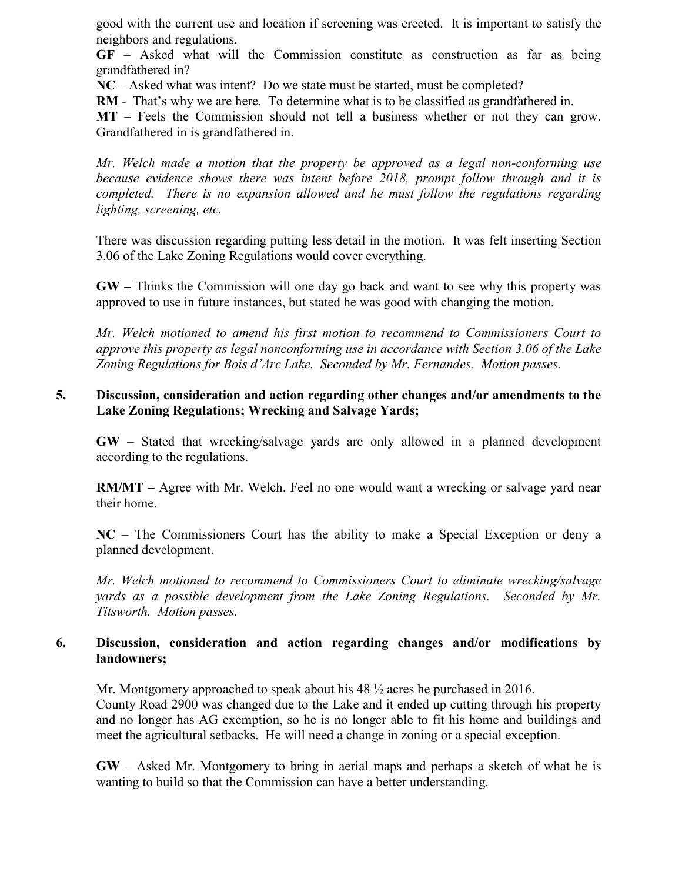good with the current use and location if screening was erected. It is important to satisfy the neighbors and regulations.

**GF** – Asked what will the Commission constitute as construction as far as being grandfathered in?

**NC** – Asked what was intent? Do we state must be started, must be completed?

**RM** - That's why we are here. To determine what is to be classified as grandfathered in.

**MT** – Feels the Commission should not tell a business whether or not they can grow. Grandfathered in is grandfathered in.

*Mr. Welch made a motion that the property be approved as a legal non-conforming use because evidence shows there was intent before 2018, prompt follow through and it is completed. There is no expansion allowed and he must follow the regulations regarding lighting, screening, etc.*

There was discussion regarding putting less detail in the motion. It was felt inserting Section 3.06 of the Lake Zoning Regulations would cover everything.

**GW –** Thinks the Commission will one day go back and want to see why this property was approved to use in future instances, but stated he was good with changing the motion.

*Mr. Welch motioned to amend his first motion to recommend to Commissioners Court to approve this property as legal nonconforming use in accordance with Section 3.06 of the Lake Zoning Regulations for Bois d'Arc Lake. Seconded by Mr. Fernandes. Motion passes.*

# **5. Discussion, consideration and action regarding other changes and/or amendments to the Lake Zoning Regulations; Wrecking and Salvage Yards;**

**GW** – Stated that wrecking/salvage yards are only allowed in a planned development according to the regulations.

**RM/MT** – Agree with Mr. Welch. Feel no one would want a wrecking or salvage yard near their home.

**NC** – The Commissioners Court has the ability to make a Special Exception or deny a planned development.

*Mr. Welch motioned to recommend to Commissioners Court to eliminate wrecking/salvage yards as a possible development from the Lake Zoning Regulations. Seconded by Mr. Titsworth. Motion passes.*

# **6. Discussion, consideration and action regarding changes and/or modifications by landowners;**

Mr. Montgomery approached to speak about his 48 ½ acres he purchased in 2016. County Road 2900 was changed due to the Lake and it ended up cutting through his property and no longer has AG exemption, so he is no longer able to fit his home and buildings and meet the agricultural setbacks. He will need a change in zoning or a special exception.

**GW** – Asked Mr. Montgomery to bring in aerial maps and perhaps a sketch of what he is wanting to build so that the Commission can have a better understanding.